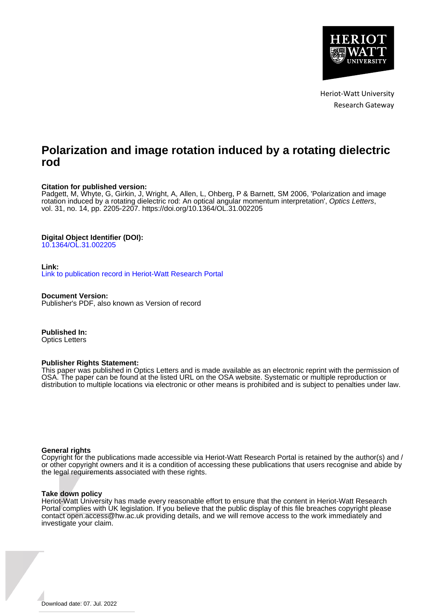

Heriot-Watt University Research Gateway

# **Polarization and image rotation induced by a rotating dielectric rod**

### **Citation for published version:**

Padgett, M, Whyte, G, Girkin, J, Wright, A, Allen, L, Ohberg, P & Barnett, SM 2006, 'Polarization and image rotation induced by a rotating dielectric rod: An optical angular momentum interpretation', Optics Letters, vol. 31, no. 14, pp. 2205-2207.<https://doi.org/10.1364/OL.31.002205>

## **Digital Object Identifier (DOI):**

[10.1364/OL.31.002205](https://doi.org/10.1364/OL.31.002205)

#### **Link:**

[Link to publication record in Heriot-Watt Research Portal](https://researchportal.hw.ac.uk/en/publications/fff391e0-08be-499b-97b5-7c6fa0cc7819)

**Document Version:** Publisher's PDF, also known as Version of record

**Published In:** Optics Letters

#### **Publisher Rights Statement:**

This paper was published in Optics Letters and is made available as an electronic reprint with the permission of OSA. The paper can be found at the listed URL on the OSA website. Systematic or multiple reproduction or distribution to multiple locations via electronic or other means is prohibited and is subject to penalties under law.

#### **General rights**

Copyright for the publications made accessible via Heriot-Watt Research Portal is retained by the author(s) and / or other copyright owners and it is a condition of accessing these publications that users recognise and abide by the legal requirements associated with these rights.

#### **Take down policy**

Heriot-Watt University has made every reasonable effort to ensure that the content in Heriot-Watt Research Portal complies with UK legislation. If you believe that the public display of this file breaches copyright please contact open.access@hw.ac.uk providing details, and we will remove access to the work immediately and investigate your claim.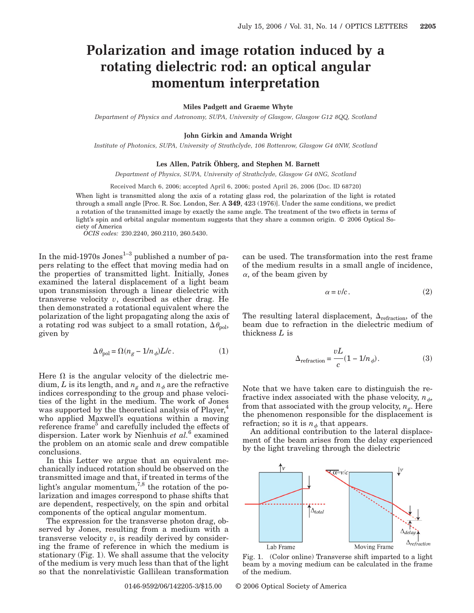# **Polarization and image rotation induced by a rotating dielectric rod: an optical angular momentum interpretation**

#### **Miles Padgett and Graeme Whyte**

*Department of Physics and Astronomy, SUPA, University of Glasgow, Glasgow G12 8QQ, Scotland*

#### **John Girkin and Amanda Wright**

*Institute of Photonics, SUPA, University of Strathclyde, 106 Rottenrow, Glasgow G4 0NW, Scotland*

#### **Les Allen, Patrik Öhberg, and Stephen M. Barnett**

*Department of Physics, SUPA, University of Strathclyde, Glasgow G4 0NG, Scotland*

Received March 6, 2006; accepted April 6, 2006; posted April 26, 2006 (Doc. ID 68720)

When light is transmitted along the axis of a rotating glass rod, the polarization of the light is rotated through a small angle [Proc. R. Soc. London, Ser. A **349**, 423 (1976)]. Under the same conditions, we predict a rotation of the transmitted image by exactly the same angle. The treatment of the two effects in terms of light's spin and orbital angular momentum suggests that they share a common origin. © 2006 Optical Society of America

*OCIS codes:* 230.2240, 260.2110, 260.5430.

In the mid-1970s  $Jones^{1-3}$  published a number of papers relating to the effect that moving media had on the properties of transmitted light. Initially, Jones examined the lateral displacement of a light beam upon transmission through a linear dielectric with transverse velocity *v*, described as ether drag. He then demonstrated a rotational equivalent where the polarization of the light propagating along the axis of a rotating rod was subject to a small rotation,  $\Delta\theta_{\rm pol}$ , given by

$$
\Delta \theta_{\text{pol}} = \Omega (n_g - 1/n_\phi) L/c. \tag{1}
$$

Here  $\Omega$  is the angular velocity of the dielectric medium, *L* is its length, and  $n_g$  and  $n_g$  are the refractive indices corresponding to the group and phase velocities of the light in the medium. The work of Jones was supported by the theoretical analysis of Player,<sup>4</sup> who applied Maxwell's equations within a moving reference frame<sup>5</sup> and carefully included the effects of dispersion. Later work by Nienhuis *et al.*<sup>6</sup> examined the problem on an atomic scale and drew compatible conclusions.

In this Letter we argue that an equivalent mechanically induced rotation should be observed on the transmitted image and that, if treated in terms of the light's angular momentum,  $7,8$  the rotation of the polarization and images correspond to phase shifts that are dependent, respectively, on the spin and orbital components of the optical angular momentum.

The expression for the transverse photon drag, observed by Jones, resulting from a medium with a transverse velocity *v*, is readily derived by considering the frame of reference in which the medium is stationary (Fig. 1). We shall assume that the velocity of the medium is very much less than that of the light so that the nonrelativistic Gallilean transformation

can be used. The transformation into the rest frame of the medium results in a small angle of incidence,  $\alpha$ , of the beam given by

$$
\alpha = v/c. \tag{2}
$$

The resulting lateral displacement,  $\Delta_{refraction}$ , of the beam due to refraction in the dielectric medium of thickness *L* is

$$
\Delta_{\text{refraction}} = \frac{vL}{c} (1 - 1/n_{\phi}). \tag{3}
$$

Note that we have taken care to distinguish the refractive index associated with the phase velocity,  $n_{\phi}$ , from that associated with the group velocity,  $n_g$ . Here the phenomenon responsible for the displacement is refraction; so it is  $n_{\phi}$  that appears.

An additional contribution to the lateral displacement of the beam arises from the delay experienced by the light traveling through the dielectric



Fig. 1. (Color online) Transverse shift imparted to a light beam by a moving medium can be calculated in the frame of the medium.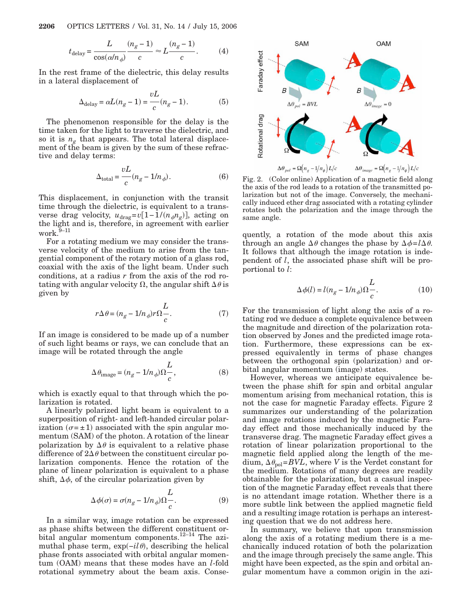**2206** OPTICS LETTERS / Vol. 31, No. 14 / July 15, 2006

$$
t_{\text{delay}} = \frac{L}{\cos(\alpha/n_{\phi})} \frac{(n_g - 1)}{c} \approx L \frac{(n_g - 1)}{c}.
$$
 (4)

In the rest frame of the dielectric, this delay results in a lateral displacement of

$$
\Delta_{\text{delay}} = \alpha L (n_g - 1) = \frac{vL}{c} (n_g - 1). \tag{5}
$$

The phenomenon responsible for the delay is the time taken for the light to traverse the dielectric, and so it is  $n_g$  that appears. The total lateral displacement of the beam is given by the sum of these refractive and delay terms:

$$
\Delta_{\text{total}} = \frac{vL}{c}(n_g - 1/n_\phi). \tag{6}
$$

This displacement, in conjunction with the transit time through the dielectric, is equivalent to a transverse drag velocity,  $u_{\text{drag}}=v[1-1/(n_{\phi}n_{g})]$ , acting on the light and is, therefore, in agreement with earlier work. $\overline{9}$ –11

For a rotating medium we may consider the transverse velocity of the medium to arise from the tangential component of the rotary motion of a glass rod, coaxial with the axis of the light beam. Under such conditions, at a radius *r* from the axis of the rod rotating with angular velocity  $\Omega$ , the angular shift  $\Delta\theta$  is given by

$$
r\Delta\theta = (n_g - 1/n_\phi)r\Omega \frac{L}{c}.\tag{7}
$$

If an image is considered to be made up of a number of such light beams or rays, we can conclude that an image will be rotated through the angle

$$
\Delta \theta_{\text{image}} = (n_g - 1/n_\phi) \Omega \frac{L}{c},\tag{8}
$$

which is exactly equal to that through which the polarization is rotated.

A linearly polarized light beam is equivalent to a superposition of right- and left-handed circular polarization  $(\sigma = \pm 1)$  associated with the spin angular momentum (SAM) of the photon. A rotation of the linear polarization by  $\Delta\theta$  is equivalent to a relative phase difference of  $2\Delta\theta$  between the constituent circular polarization components. Hence the rotation of the plane of linear polarization is equivalent to a phase shift,  $\Delta \phi$ , of the circular polarization given by

$$
\Delta \phi(\sigma) = \sigma(n_g - 1/n_\phi) \Omega \frac{L}{c}.
$$
\n(9)

In a similar way, image rotation can be expressed as phase shifts between the different constituent orbital angular momentum components.12–14 The azimuthal phase term, exp(-il  $\theta$ ), describing the helical phase fronts associated with orbital angular momentum (OAM) means that these modes have an *l*-fold rotational symmetry about the beam axis. Conse-



Fig. 2. (Color online) Application of a magnetic field along the axis of the rod leads to a rotation of the transmitted polarization but not of the image. Conversely, the mechanically induced ether drag associated with a rotating cylinder rotates both the polarization and the image through the same angle.

quently, a rotation of the mode about this axis through an angle  $\Delta\theta$  changes the phase by  $\Delta\phi = l\Delta\theta$ . It follows that although the image rotation is independent of *l*, the associated phase shift will be proportional to *l*:

$$
\Delta \phi(l) = l(n_g - 1/n_\phi) \Omega \frac{L}{c}.
$$
\n(10)

For the transmission of light along the axis of a rotating rod we deduce a complete equivalence between the magnitude and direction of the polarization rotation observed by Jones and the predicted image rotation. Furthermore, these expressions can be expressed equivalently in terms of phase changes between the orthogonal spin (polarization) and orbital angular momentum (image) states.

However, whereas we anticipate equivalence between the phase shift for spin and orbital angular momentum arising from mechanical rotation, this is not the case for magnetic Faraday effects. Figure 2 summarizes our understanding of the polarization and image rotations induced by the magnetic Faraday effect and those mechanically induced by the transverse drag. The magnetic Faraday effect gives a rotation of linear polarization proportional to the magnetic field applied along the length of the me- $\dim$ ,  $\Delta \theta_{\text{pol}} = BVL$ , where *V* is the Verdet constant for the medium. Rotations of many degrees are readily obtainable for the polarization, but a casual inspection of the magnetic Faraday effect reveals that there is no attendant image rotation. Whether there is a more subtle link between the applied magnetic field and a resulting image rotation is perhaps an interesting question that we do not address here.

In summary, we believe that upon transmission along the axis of a rotating medium there is a mechanically induced rotation of both the polarization and the image through precisely the same angle. This might have been expected, as the spin and orbital angular momentum have a common origin in the azi-